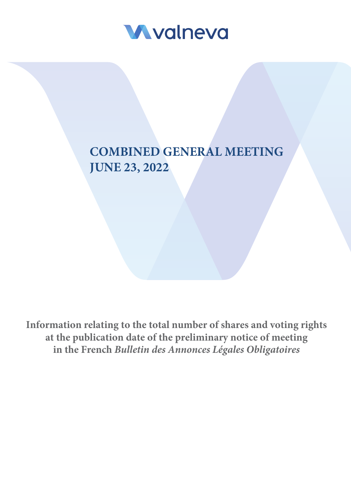

# **COMBINED GENERAL MEETING JUNE 23, 2022**

**Information relating to the total number of shares and voting rights at the publication date of the preliminary notice of meeting in the French** *Bulletin des Annonces Légales Obligatoires*